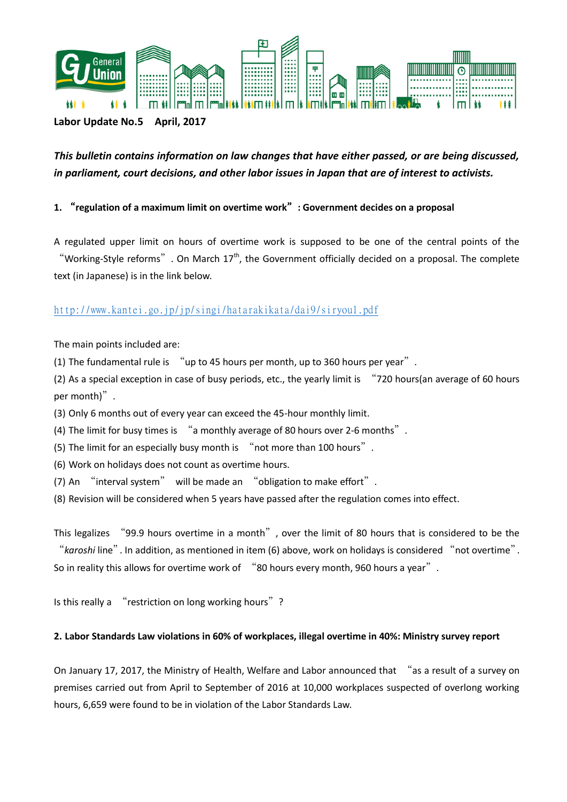

## **Labor Update No.5 April, 2017**

# *This bulletin contains information on law changes that have either passed, or are being discussed, in parliament, court decisions, and other labor issues in Japan that are of interest to activists.*

## **1.** "**regulation of a maximum limit on overtime work**"**: Government decides on a proposal**

A regulated upper limit on hours of overtime work is supposed to be one of the central points of the "Working-Style reforms". On March  $17<sup>th</sup>$ , the Government officially decided on a proposal. The complete text (in Japanese) is in the link below.

## <http://www.kantei.go.jp/jp/singi/hatarakikata/dai9/siryou1.pdf>

The main points included are:

(1) The fundamental rule is "up to 45 hours per month, up to 360 hours per year".

(2) As a special exception in case of busy periods, etc., the yearly limit is "720 hours(an average of 60 hours per month)".

(3) Only 6 months out of every year can exceed the 45-hour monthly limit.

(4) The limit for busy times is "a monthly average of 80 hours over 2-6 months".

(5) The limit for an especially busy month is "not more than 100 hours".

(6) Work on holidays does not count as overtime hours.

(7) An "interval system" will be made an "obligation to make effort".

(8) Revision will be considered when 5 years have passed after the regulation comes into effect.

This legalizes "99.9 hours overtime in a month", over the limit of 80 hours that is considered to be the "*karoshi* line". In addition, as mentioned in item (6) above, work on holidays is considered "not overtime". So in reality this allows for overtime work of "80 hours every month, 960 hours a year".

Is this really a "restriction on long working hours"?

#### **2. Labor Standards Law violations in 60% of workplaces, illegal overtime in 40%: Ministry survey report**

On January 17, 2017, the Ministry of Health, Welfare and Labor announced that "as a result of a survey on premises carried out from April to September of 2016 at 10,000 workplaces suspected of overlong working hours, 6,659 were found to be in violation of the Labor Standards Law.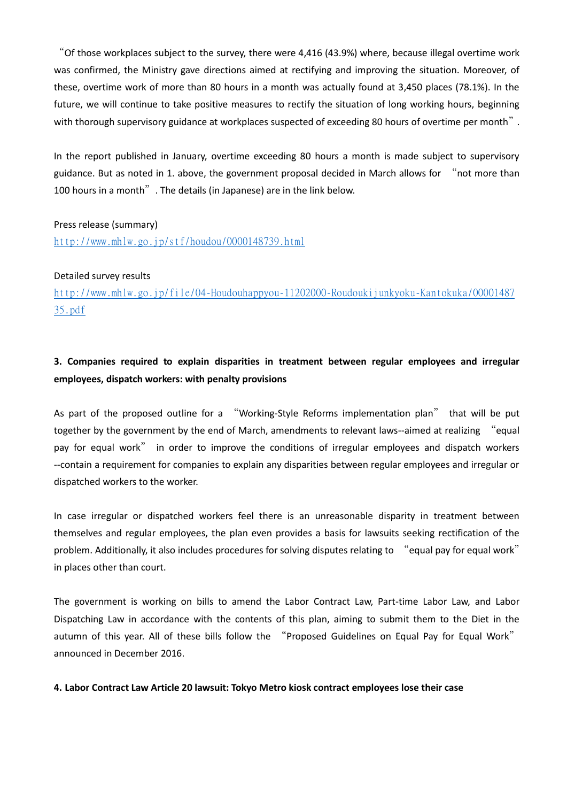"Of those workplaces subject to the survey, there were 4,416 (43.9%) where, because illegal overtime work was confirmed, the Ministry gave directions aimed at rectifying and improving the situation. Moreover, of these, overtime work of more than 80 hours in a month was actually found at 3,450 places (78.1%). In the future, we will continue to take positive measures to rectify the situation of long working hours, beginning with thorough supervisory guidance at workplaces suspected of exceeding 80 hours of overtime per month".

In the report published in January, overtime exceeding 80 hours a month is made subject to supervisory guidance. But as noted in 1. above, the government proposal decided in March allows for "not more than 100 hours in a month". The details (in Japanese) are in the link below.

#### Press release (summary)

<http://www.mhlw.go.jp/stf/houdou/0000148739.html>

#### Detailed survey results

[http://www.mhlw.go.jp/file/04-Houdouhappyou-11202000-Roudoukijunkyoku-Kantokuka/00001487](http://www.mhlw.go.jp/file/04-Houdouhappyou-11202000-Roudoukijunkyoku-Kantokuka/0000148735.pdf) [35.pdf](http://www.mhlw.go.jp/file/04-Houdouhappyou-11202000-Roudoukijunkyoku-Kantokuka/0000148735.pdf)

## **3. Companies required to explain disparities in treatment between regular employees and irregular employees, dispatch workers: with penalty provisions**

As part of the proposed outline for a "Working-Style Reforms implementation plan" that will be put together by the government by the end of March, amendments to relevant laws--aimed at realizing "equal pay for equal work" in order to improve the conditions of irregular employees and dispatch workers --contain a requirement for companies to explain any disparities between regular employees and irregular or dispatched workers to the worker.

In case irregular or dispatched workers feel there is an unreasonable disparity in treatment between themselves and regular employees, the plan even provides a basis for lawsuits seeking rectification of the problem. Additionally, it also includes procedures for solving disputes relating to "equal pay for equal work" in places other than court.

The government is working on bills to amend the Labor Contract Law, Part-time Labor Law, and Labor Dispatching Law in accordance with the contents of this plan, aiming to submit them to the Diet in the autumn of this year. All of these bills follow the "Proposed Guidelines on Equal Pay for Equal Work" announced in December 2016.

#### **4. Labor Contract Law Article 20 lawsuit: Tokyo Metro kiosk contract employees lose their case**